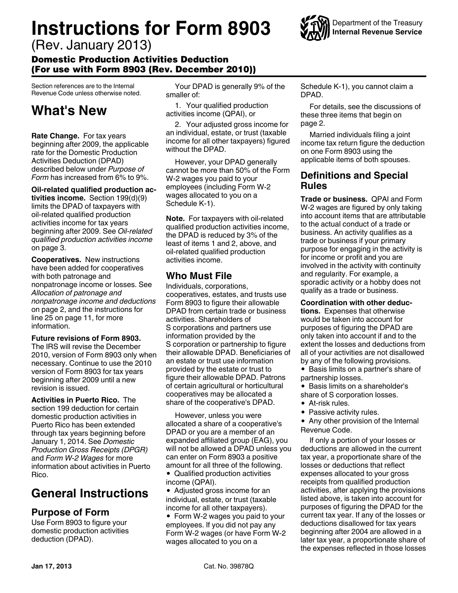# **Instructions for Form 8903**

(Rev. January 2013)

### Domestic Production Activities Deduction (For use with Form 8903 (Rev. December 2010))

Section references are to the Internal Revenue Code unless otherwise noted.

# **What's New**

**Rate Change.** For tax years beginning after 2009, the applicable rate for the Domestic Production Activities Deduction (DPAD) described below under *Purpose of Form* has increased from 6% to 9%.

**Oil-related qualified production activities income.** Section 199(d)(9) limits the DPAD of taxpayers with oil-related qualified production activities income for tax years beginning after 2009. See *Oil-related qualified production activities income*  on page 3.

**Cooperatives.** New instructions have been added for cooperatives with both patronage and nonpatronage income or losses. See *Allocation of patronage and nonpatronage income and deductions*  on page 2, and the instructions for line 25 on page 11, for more information.

### **Future revisions of Form 8903.**

The IRS will revise the December 2010, version of Form 8903 only when necessary. Continue to use the 2010 version of Form 8903 for tax years beginning after 2009 until a new revision is issued.

**Activities in Puerto Rico.** The section 199 deduction for certain domestic production activities in Puerto Rico has been extended through tax years beginning before January 1, 2014. See *Domestic Production Gross Receipts (DPGR)*  and *Form W-2 Wages* for more information about activities in Puerto Rico.

## **General Instructions**

### **Purpose of Form**

Use Form 8903 to figure your domestic production activities deduction (DPAD).

Your DPAD is generally 9% of the smaller of:

1. Your qualified production activities income (QPAI), or

2. Your adjusted gross income for an individual, estate, or trust (taxable income for all other taxpayers) figured without the DPAD.

However, your DPAD generally cannot be more than 50% of the Form W-2 wages you paid to your employees (including Form W-2 wages allocated to you on a Schedule K-1).

**Note.** For taxpayers with oil-related qualified production activities income, the DPAD is reduced by 3% of the least of items 1 and 2, above, and oil-related qualified production activities income.

### **Who Must File**

Individuals, corporations, cooperatives, estates, and trusts use Form 8903 to figure their allowable DPAD from certain trade or business activities. Shareholders of S corporations and partners use information provided by the S corporation or partnership to figure their allowable DPAD. Beneficiaries of an estate or trust use information provided by the estate or trust to figure their allowable DPAD. Patrons of certain agricultural or horticultural cooperatives may be allocated a share of the cooperative's DPAD.

However, unless you were allocated a share of a cooperative's DPAD or you are a member of an expanded affiliated group (EAG), you will not be allowed a DPAD unless you can enter on Form 8903 a positive amount for all three of the following.

- Qualified production activities income (QPAI).
- Adjusted gross income for an individual, estate, or trust (taxable income for all other taxpayers).

Form W-2 wages you paid to your employees. If you did not pay any Form W-2 wages (or have Form W-2 wages allocated to you on a

Schedule K-1), you cannot claim a DPAD.

For details, see the discussions of these three items that begin on page 2.

Married individuals filing a joint income tax return figure the deduction on one Form 8903 using the applicable items of both spouses.

### **Definitions and Special Rules**

**Trade or business.** QPAI and Form W-2 wages are figured by only taking into account items that are attributable to the actual conduct of a trade or business. An activity qualifies as a trade or business if your primary purpose for engaging in the activity is for income or profit and you are involved in the activity with continuity and regularity. For example, a sporadic activity or a hobby does not qualify as a trade or business.

**Coordination with other deductions.** Expenses that otherwise would be taken into account for purposes of figuring the DPAD are only taken into account if and to the extent the losses and deductions from all of your activities are not disallowed by any of the following provisions.

- Basis limits on a partner's share of partnership losses.
- Basis limits on a shareholder's
- share of S corporation losses.
- At-risk rules.
- Passive activity rules.
- Any other provision of the Internal Revenue Code.

If only a portion of your losses or deductions are allowed in the current tax year, a proportionate share of the losses or deductions that reflect expenses allocated to your gross receipts from qualified production activities, after applying the provisions listed above, is taken into account for purposes of figuring the DPAD for the current tax year. If any of the losses or deductions disallowed for tax years beginning after 2004 are allowed in a later tax year, a proportionate share of the expenses reflected in those losses

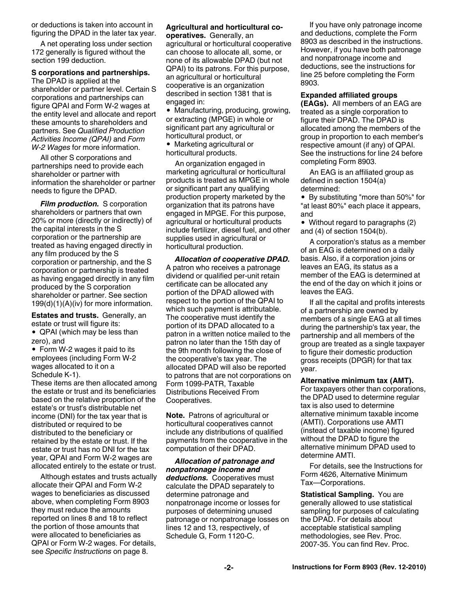or deductions is taken into account in figuring the DPAD in the later tax year.

A net operating loss under section 172 generally is figured without the section 199 deduction.

#### **S corporations and partnerships.**

The DPAD is applied at the shareholder or partner level. Certain S corporations and partnerships can figure QPAI and Form W-2 wages at the entity level and allocate and report these amounts to shareholders and partners. See *Qualified Production Activities Income (QPAI)* and *Form W-2 Wages* for more information.

All other S corporations and partnerships need to provide each shareholder or partner with information the shareholder or partner needs to figure the DPAD.

*Film production.* S corporation shareholders or partners that own 20% or more (directly or indirectly) of the capital interests in the S corporation or the partnership are treated as having engaged directly in any film produced by the S corporation or partnership, and the S corporation or partnership is treated as having engaged directly in any film produced by the S corporation shareholder or partner. See section 199(d)(1)(A)(iv) for more information.

**Estates and trusts.** Generally, an estate or trust will figure its:

• QPAI (which may be less than zero), and

• Form W-2 wages it paid to its employees (including Form W-2 wages allocated to it on a Schedule K-1).

These items are then allocated among the estate or trust and its beneficiaries based on the relative proportion of the estate's or trust's distributable net income (DNI) for the tax year that is distributed or required to be distributed to the beneficiary or retained by the estate or trust. If the estate or trust has no DNI for the tax year, QPAI and Form W-2 wages are allocated entirely to the estate or trust.

Although estates and trusts actually allocate their QPAI and Form W-2 wages to beneficiaries as discussed above, when completing Form 8903 they must reduce the amounts reported on lines 8 and 18 to reflect the portion of those amounts that were allocated to beneficiaries as QPAI or Form W-2 wages. For details, see *Specific Instructions* on page 8.

#### **Agricultural and horticultural cooperatives.** Generally, an

agricultural or horticultural cooperative can choose to allocate all, some, or none of its allowable DPAD (but not QPAI) to its patrons. For this purpose, an agricultural or horticultural cooperative is an organization described in section 1381 that is engaged in:

Manufacturing, producing, growing, or extracting (MPGE) in whole or significant part any agricultural or horticultural product, or

Marketing agricultural or horticultural products.

An organization engaged in marketing agricultural or horticultural products is treated as MPGE in whole or significant part any qualifying production property marketed by the organization that its patrons have engaged in MPGE. For this purpose, agricultural or horticultural products include fertilizer, diesel fuel, and other supplies used in agricultural or horticultural production.

*Allocation of cooperative DPAD.*  A patron who receives a patronage dividend or qualified per-unit retain certificate can be allocated any portion of the DPAD allowed with respect to the portion of the QPAI to which such payment is attributable. The cooperative must identify the portion of its DPAD allocated to a patron in a written notice mailed to the patron no later than the 15th day of the 9th month following the close of the cooperative's tax year. The allocated DPAD will also be reported to patrons that are not corporations on Form 1099-PATR, Taxable Distributions Received From Cooperatives.

**Note.** Patrons of agricultural or horticultural cooperatives cannot include any distributions of qualified payments from the cooperative in the computation of their DPAD.

*Allocation of patronage and nonpatronage income and deductions.* Cooperatives must calculate the DPAD separately to determine patronage and nonpatronage income or losses for purposes of determining unused patronage or nonpatronage losses on lines 12 and 13, respectively, of Schedule G, Form 1120-C.

If you have only patronage income and deductions, complete the Form 8903 as described in the instructions. However, if you have both patronage and nonpatronage income and deductions, see the instructions for line 25 before completing the Form 8903.

#### **Expanded affiliated groups**

**(EAGs).** All members of an EAG are treated as a single corporation to figure their DPAD. The DPAD is allocated among the members of the group in proportion to each member's respective amount (if any) of QPAI. See the instructions for line 24 before completing Form 8903.

An EAG is an affiliated group as defined in section 1504(a) determined:

By substituting "more than 50%" for "at least 80%" each place it appears, and

• Without regard to paragraphs (2) and (4) of section 1504(b).

A corporation's status as a member of an EAG is determined on a daily basis. Also, if a corporation joins or leaves an EAG, its status as a member of the EAG is determined at the end of the day on which it joins or leaves the EAG.

If all the capital and profits interests of a partnership are owned by members of a single EAG at all times during the partnership's tax year, the partnership and all members of the group are treated as a single taxpayer to figure their domestic production gross receipts (DPGR) for that tax year.

**Alternative minimum tax (AMT).**  For taxpayers other than corporations, the DPAD used to determine regular tax is also used to determine alternative minimum taxable income (AMTI). Corporations use AMTI (instead of taxable income) figured without the DPAD to figure the alternative minimum DPAD used to determine AMTI.

For details, see the Instructions for Form 4626, Alternative Minimum Tax—Corporations.

**Statistical Sampling.** You are generally allowed to use statistical sampling for purposes of calculating the DPAD. For details about acceptable statistical sampling methodologies, see Rev. Proc. 2007-35. You can find Rev. Proc.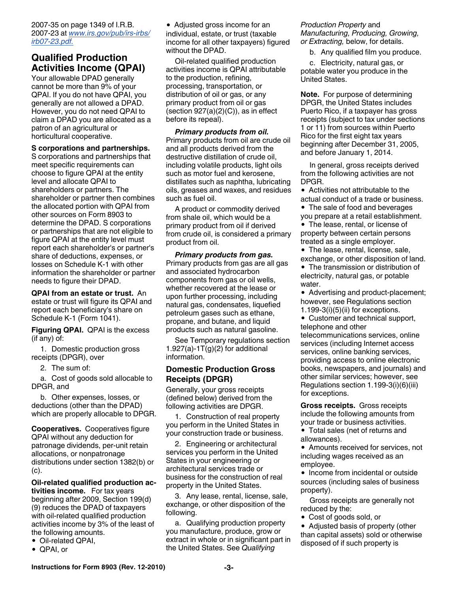2007-35 on page 1349 of I.R.B. 2007-23 at *[www.irs.gov/pub/irs-irbs/](http://www.irs.gov/pub/irs-irbs/irb07-23.pdf) [irb07-23.pdf.](http://www.irs.gov/pub/irs-irbs/irb07-23.pdf)*

### **Qualified Production Activities Income (QPAI)**

Your allowable DPAD generally cannot be more than 9% of your QPAI. If you do not have QPAI, you generally are not allowed a DPAD. However, you do not need QPAI to claim a DPAD you are allocated as a patron of an agricultural or horticultural cooperative.

#### **S corporations and partnerships.**

S corporations and partnerships that meet specific requirements can choose to figure QPAI at the entity level and allocate QPAI to shareholders or partners. The shareholder or partner then combines the allocated portion with QPAI from other sources on Form 8903 to determine the DPAD. S corporations or partnerships that are not eligible to figure QPAI at the entity level must report each shareholder's or partner's share of deductions, expenses, or losses on Schedule K-1 with other information the shareholder or partner needs to figure their DPAD.

**QPAI from an estate or trust.** An estate or trust will figure its QPAI and report each beneficiary's share on Schedule K-1 (Form 1041).

**Figuring QPAI.** QPAI is the excess (if any) of:

1. Domestic production gross receipts (DPGR), over

2. The sum of:

a. Cost of goods sold allocable to DPGR, and

b. Other expenses, losses, or deductions (other than the DPAD) which are properly allocable to DPGR.

**Cooperatives.** Cooperatives figure QPAI without any deduction for patronage dividends, per-unit retain allocations, or nonpatronage distributions under section 1382(b) or (c).

**Oil-related qualified production activities income.** For tax years beginning after 2009, Section 199(d) (9) reduces the DPAD of taxpayers with oil-related qualified production activities income by 3% of the least of the following amounts.

- Oil-related QPAI,
- QPAI, or

• Adjusted gross income for an individual, estate, or trust (taxable income for all other taxpayers) figured without the DPAD.

Oil-related qualified production activities income is QPAI attributable to the production, refining, processing, transportation, or distribution of oil or gas, or any primary product from oil or gas (section  $927(a)(2)(C)$ ), as in effect before its repeal).

*Primary products from oil.*  Primary products from oil are crude oil and all products derived from the destructive distillation of crude oil, including volatile products, light oils such as motor fuel and kerosene, distillates such as naphtha, lubricating oils, greases and waxes, and residues such as fuel oil.

A product or commodity derived from shale oil, which would be a primary product from oil if derived from crude oil, is considered a primary product from oil.

*Primary products from gas.*  Primary products from gas are all gas and associated hydrocarbon components from gas or oil wells, whether recovered at the lease or upon further processing, including natural gas, condensates, liquefied petroleum gases such as ethane, propane, and butane, and liquid products such as natural gasoline.

See Temporary regulations section 1.927(a)-1 $T(g)(2)$  for additional information.

#### **Domestic Production Gross Receipts (DPGR)**

Generally, your gross receipts (defined below) derived from the following activities are DPGR.

1. Construction of real property you perform in the United States in your construction trade or business.

2. Engineering or architectural services you perform in the United States in your engineering or architectural services trade or business for the construction of real property in the United States.

3. Any lease, rental, license, sale, exchange, or other disposition of the following.

a. Qualifying production property you manufacture, produce, grow or extract in whole or in significant part in the United States. See *Qualifying* 

#### *Production Property* and *Manufacturing, Producing, Growing, or Extracting,* below, for details.

b. Any qualified film you produce.

c. Electricity, natural gas, or potable water you produce in the United States.

**Note.** For purpose of determining DPGR, the United States includes Puerto Rico, if a taxpayer has gross receipts (subject to tax under sections 1 or 11) from sources within Puerto Rico for the first eight tax years beginning after December 31, 2005, and before January 1, 2014.

In general, gross receipts derived from the following activities are not DPGR.

• Activities not attributable to the actual conduct of a trade or business.

• The sale of food and beverages you prepare at a retail establishment.

• The lease, rental, or license of property between certain persons treated as a single employer.

- The lease, rental, license, sale,
- exchange, or other disposition of land. The transmission or distribution of

electricity, natural gas, or potable water.

• Advertising and product-placement; however, see Regulations section 1.199-3(i)(5)(ii) for exceptions.

• Customer and technical support, telephone and other telecommunications services, online

services (including Internet access services, online banking services, providing access to online electronic books, newspapers, and journals) and other similar services; however, see Regulations section 1.199-3(i)(6)(iii) for exceptions.

**Gross receipts.** Gross receipts include the following amounts from your trade or business activities.

Total sales (net of returns and allowances).

Amounts received for services, not including wages received as an employee.

• Income from incidental or outside sources (including sales of business property).

Gross receipts are generally not reduced by the:

Cost of goods sold, or

• Adjusted basis of property (other than capital assets) sold or otherwise disposed of if such property is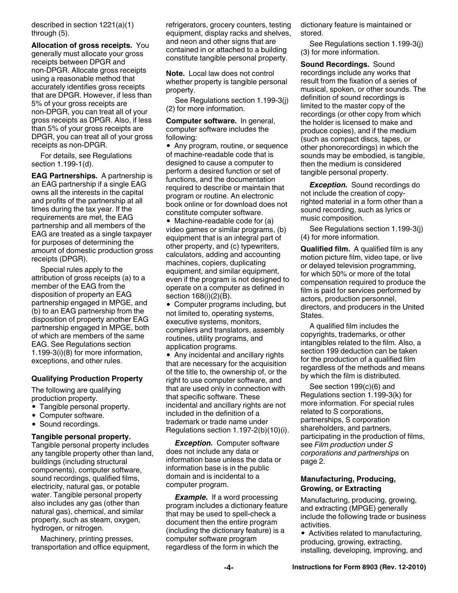described in section 1221(a)(1) through (5).

**Allocation of gross receipts.** You generally must allocate your gross receipts between DPGR and non-DPGR. Allocate gross receipts using a reasonable method that accurately identifies gross receipts that are DPGR. However, if less than 5% of your gross receipts are non-DPGR, you can treat all of your gross receipts as DPGR. Also, if less than 5% of your gross receipts are DPGR, you can treat all of your gross receipts as non-DPGR.

For details, see Regulations section 1.199-1(d).

**EAG Partnerships.** A partnership is an EAG partnership if a single EAG owns all the interests in the capital and profits of the partnership at all times during the tax year. If the requirements are met, the EAG partnership and all members of the EAG are treated as a single taxpayer for purposes of determining the amount of domestic production gross receipts (DPGR).

Special rules apply to the attribution of gross receipts (a) to a member of the EAG from the disposition of property an EAG partnership engaged in MPGE, and (b) to an EAG partnership from the disposition of property another EAG partnership engaged in MPGE, both of which are members of the same EAG. See Regulations section 1.199-3(i)(8) for more information, exceptions, and other rules.

#### **Qualifying Production Property**

The following are qualifying production property.

- Tangible personal property.
- Computer software.
- Sound recordings.

#### **Tangible personal property.**

Tangible personal property includes any tangible property other than land, buildings (including structural components), computer software, sound recordings, qualified films, electricity, natural gas, or potable water. Tangible personal property also includes any gas (other than natural gas), chemical, and similar property, such as steam, oxygen, hydrogen, or nitrogen.

Machinery, printing presses, transportation and office equipment,

refrigerators, grocery counters, testing equipment, display racks and shelves, and neon and other signs that are contained in or attached to a building constitute tangible personal property.

**Note.** Local law does not control whether property is tangible personal property.

See Regulations section 1.199-3(j) (2) for more information.

**Computer software.** In general, computer software includes the following:

• Any program, routine, or sequence of machine-readable code that is designed to cause a computer to perform a desired function or set of functions, and the documentation required to describe or maintain that program or routine. An electronic book online or for download does not constitute computer software.

• Machine-readable code for (a) video games or similar programs, (b) equipment that is an integral part of other property, and (c) typewriters, calculators, adding and accounting machines, copiers, duplicating equipment, and similar equipment, even if the program is not designed to operate on a computer as defined in section 168(i)(2)(B).

Computer programs including, but not limited to, operating systems, executive systems, monitors, compilers and translators, assembly routines, utility programs, and application programs.

• Any incidental and ancillary rights that are necessary for the acquisition of the title to, the ownership of, or the right to use computer software, and that are used only in connection with that specific software. These incidental and ancillary rights are not included in the definition of a trademark or trade name under Regulations section 1.197-2(b)(10)(i).

*Exception.* Computer software does not include any data or information base unless the data or information base is in the public domain and is incidental to a computer program.

**Example.** If a word processing program includes a dictionary feature that may be used to spell-check a document then the entire program (including the dictionary feature) is a computer software program regardless of the form in which the

dictionary feature is maintained or stored.

See Regulations section 1.199-3(j) (3) for more information.

**Sound Recordings.** Sound recordings include any works that result from the fixation of a series of musical, spoken, or other sounds. The definition of sound recordings is limited to the master copy of the recordings (or other copy from which the holder is licensed to make and produce copies), and if the medium (such as compact discs, tapes, or other phonorecordings) in which the sounds may be embodied, is tangible, then the medium is considered tangible personal property.

*Exception.* Sound recordings do not include the creation of copyrighted material in a form other than a sound recording, such as lyrics or music composition.

See Regulations section 1.199-3(j) (4) for more information.

**Qualified film.** A qualified film is any motion picture film, video tape, or live or delayed television programming, for which 50% or more of the total compensation required to produce the film is paid for services performed by actors, production personnel, directors, and producers in the United States.

A qualified film includes the copyrights, trademarks, or other intangibles related to the film. Also, a section 199 deduction can be taken for the production of a qualified film regardless of the methods and means by which the film is distributed.

See section 199(c)(6) and Regulations section 1.199-3(k) for more information. For special rules related to S corporations, partnerships, S corporation shareholders, and partners, participating in the production of films, see *Film production* under *S corporations and partnerships* on page 2.

#### **Manufacturing, Producing, Growing, or Extracting**

Manufacturing, producing, growing, and extracting (MPGE) generally include the following trade or business activities.

• Activities related to manufacturing, producing, growing, extracting, installing, developing, improving, and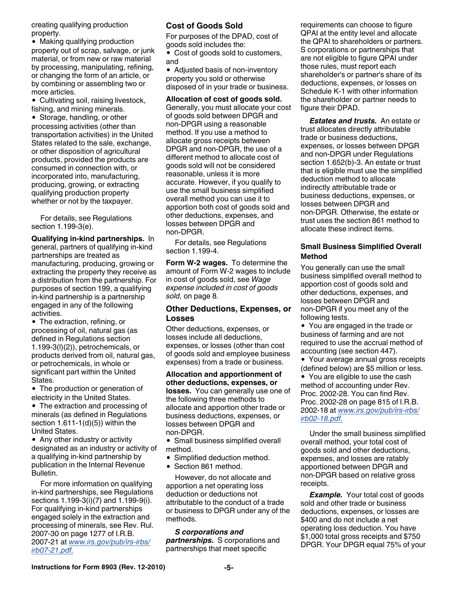creating qualifying production property.

• Making qualifying production property out of scrap, salvage, or junk material, or from new or raw material by processing, manipulating, refining, or changing the form of an article, or by combining or assembling two or more articles.

• Cultivating soil, raising livestock, fishing, and mining minerals.

• Storage, handling, or other processing activities (other than transportation activities) in the United States related to the sale, exchange, or other disposition of agricultural products, provided the products are consumed in connection with, or incorporated into, manufacturing, producing, growing, or extracting qualifying production property whether or not by the taxpayer.

For details, see Regulations section 1.199-3(e).

**Qualifying in-kind partnerships.** In general, partners of qualifying in-kind partnerships are treated as manufacturing, producing, growing or extracting the property they receive as a distribution from the partnership. For purposes of section 199, a qualifying in-kind partnership is a partnership engaged in any of the following activities.

• The extraction, refining, or processing of oil, natural gas (as defined in Regulations section 1.199-3(l)(2)), petrochemicals, or products derived from oil, natural gas, or petrochemicals, in whole or significant part within the United States.

• The production or generation of electricity in the United States.

• The extraction and processing of minerals (as defined in Regulations section  $1.611-1(d)(5)$ ) within the United States.

• Any other industry or activity designated as an industry or activity of a qualifying in-kind partnership by publication in the Internal Revenue Bulletin.

For more information on qualifying in-kind partnerships, see Regulations sections 1.199-3(i)(7) and 1.199-9(i). For qualifying in-kind partnerships engaged solely in the extraction and processing of minerals, see Rev. Rul. 2007-30 on page 1277 of I.R.B. 2007-21 at *[www.irs.gov/pub/irs-irbs/](http://www.irs.gov/pub/irs-irbs/irb07-21.pdf) [irb07-21.pdf.](http://www.irs.gov/pub/irs-irbs/irb07-21.pdf)*

### **Cost of Goods Sold**

For purposes of the DPAD, cost of goods sold includes the:

• Cost of goods sold to customers, and

Adjusted basis of non-inventory property you sold or otherwise disposed of in your trade or business.

**Allocation of cost of goods sold.**  Generally, you must allocate your cost of goods sold between DPGR and non-DPGR using a reasonable method. If you use a method to allocate gross receipts between DPGR and non-DPGR, the use of a different method to allocate cost of goods sold will not be considered reasonable, unless it is more accurate. However, if you qualify to use the small business simplified overall method you can use it to apportion both cost of goods sold and other deductions, expenses, and losses between DPGR and non-DPGR.

For details, see Regulations section 1.199-4.

**Form W-2 wages.** To determine the amount of Form W-2 wages to include in cost of goods sold, see *Wage expense included in cost of goods sold,* on page 8.

#### **Other Deductions, Expenses, or Losses**

Other deductions, expenses, or losses include all deductions, expenses, or losses (other than cost of goods sold and employee business expenses) from a trade or business.

**Allocation and apportionment of other deductions, expenses, or losses.** You can generally use one of the following three methods to allocate and apportion other trade or business deductions, expenses, or losses between DPGR and non-DPGR.

• Small business simplified overall method.

- Simplified deduction method.
- Section 861 method.

However, do not allocate and apportion a net operating loss deduction or deductions not attributable to the conduct of a trade or business to DPGR under any of the methods.

*S corporations and partnerships.* S corporations and partnerships that meet specific

requirements can choose to figure QPAI at the entity level and allocate the QPAI to shareholders or partners. S corporations or partnerships that are not eligible to figure QPAI under those rules, must report each shareholder's or partner's share of its deductions, expenses, or losses on Schedule K-1 with other information the shareholder or partner needs to figure their DPAD.

*Estates and trusts.* An estate or trust allocates directly attributable trade or business deductions, expenses, or losses between DPGR and non-DPGR under Regulations section 1.652(b)-3. An estate or trust that is eligible must use the simplified deduction method to allocate indirectly attributable trade or business deductions, expenses, or losses between DPGR and non-DPGR. Otherwise, the estate or trust uses the section 861 method to allocate these indirect items.

#### **Small Business Simplified Overall Method**

You generally can use the small business simplified overall method to apportion cost of goods sold and other deductions, expenses, and losses between DPGR and non-DPGR if you meet any of the following tests.

You are engaged in the trade or business of farming and are not required to use the accrual method of accounting (see section 447).

Your average annual gross receipts (defined below) are \$5 million or less.

• You are eligible to use the cash method of accounting under Rev. Proc. 2002-28. You can find Rev. Proc. 2002-28 on page 815 of I.R.B. 2002-18 at *[www.irs.gov/pub/irs-irbs/](http://www.irs.gov/pub/irs-irbs/irb02-18.pdf) [irb02-18.pdf.](http://www.irs.gov/pub/irs-irbs/irb02-18.pdf)*

Under the small business simplified overall method, your total cost of goods sold and other deductions, expenses, and losses are ratably apportioned between DPGR and non-DPGR based on relative gross receipts.

**Example.** Your total cost of goods sold and other trade or business deductions, expenses, or losses are \$400 and do not include a net operating loss deduction. You have \$1,000 total gross receipts and \$750 DPGR. Your DPGR equal 75% of your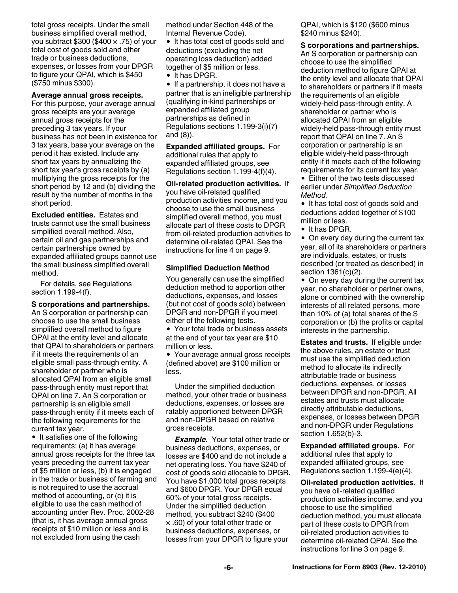total gross receipts. Under the small business simplified overall method, you subtract \$300 (\$400  $\times$  .75) of your total cost of goods sold and other trade or business deductions, expenses, or losses from your DPGR to figure your QPAI, which is \$450 (\$750 minus \$300).

#### **Average annual gross receipts.**

For this purpose, your average annual gross receipts are your average annual gross receipts for the preceding 3 tax years. If your business has not been in existence for 3 tax years, base your average on the period it has existed. Include any short tax years by annualizing the short tax year's gross receipts by (a) multiplying the gross receipts for the short period by 12 and (b) dividing the result by the number of months in the short period.

**Excluded entities.** Estates and trusts cannot use the small business simplified overall method. Also, certain oil and gas partnerships and certain partnerships owned by expanded affiliated groups cannot use the small business simplified overall method.

For details, see Regulations section 1.199-4(f).

#### **S corporations and partnerships.**

An S corporation or partnership can choose to use the small business simplified overall method to figure QPAI at the entity level and allocate that QPAI to shareholders or partners if it meets the requirements of an eligible small pass-through entity. A shareholder or partner who is allocated QPAI from an eligible small pass-through entity must report that QPAI on line 7. An S corporation or partnership is an eligible small pass-through entity if it meets each of the following requirements for the current tax year.

• It satisfies one of the following requirements: (a) it has average annual gross receipts for the three tax years preceding the current tax year of \$5 million or less, (b) it is engaged in the trade or business of farming and is not required to use the accrual method of accounting, or (c) it is eligible to use the cash method of accounting under Rev. Proc. 2002-28 (that is, it has average annual gross receipts of \$10 million or less and is not excluded from using the cash

method under Section 448 of the Internal Revenue Code).

• It has total cost of goods sold and deductions (excluding the net operating loss deduction) added together of \$5 million or less.

• It has DPGR.

 $\bullet$  If a partnership, it does not have a partner that is an ineligible partnership (qualifying in-kind partnerships or expanded affiliated group partnerships as defined in Regulations sections 1.199-3(i)(7) and (8)).

**Expanded affiliated groups.** For additional rules that apply to expanded affiliated groups, see Regulations section 1.199-4(f)(4).

**Oil-related production activities.** If you have oil-related qualified production activities income, and you choose to use the small business simplified overall method, you must allocate part of these costs to DPGR from oil-related production activities to determine oil-related QPAI. See the instructions for line 4 on page 9.

#### **Simplified Deduction Method**

You generally can use the simplified deduction method to apportion other deductions, expenses, and losses (but not cost of goods sold) between DPGR and non-DPGR if you meet either of the following tests.

Your total trade or business assets at the end of your tax year are \$10 million or less.

Your average annual gross receipts (defined above) are \$100 million or less.

Under the simplified deduction method, your other trade or business deductions, expenses, or losses are ratably apportioned between DPGR and non-DPGR based on relative gross receipts.

**Example.** Your total other trade or business deductions, expenses, or losses are \$400 and do not include a net operating loss. You have \$240 of cost of goods sold allocable to DPGR. You have \$1,000 total gross receipts and \$600 DPGR. Your DPGR equal 60% of your total gross receipts. Under the simplified deduction method, you subtract \$240 (\$400 × .60) of your total other trade or business deductions, expenses, or losses from your DPGR to figure your

QPAI, which is \$120 (\$600 minus \$240 minus \$240).

**S corporations and partnerships.** 

An S corporation or partnership can choose to use the simplified deduction method to figure QPAI at the entity level and allocate that QPAI to shareholders or partners if it meets the requirements of an eligible widely-held pass-through entity. A shareholder or partner who is allocated QPAI from an eligible widely-held pass-through entity must report that QPAI on line 7. An S corporation or partnership is an eligible widely-held pass-through entity if it meets each of the following requirements for its current tax year.

• Either of the two tests discussed earlier under *Simplified Deduction Method*.

• It has total cost of goods sold and deductions added together of \$100 million or less.

• It has DPGR.

• On every day during the current tax year, all of its shareholders or partners are individuals, estates, or trusts described (or treated as described) in section 1361(c)(2).

• On every day during the current tax year, no shareholder or partner owns, alone or combined with the ownership interests of all related persons, more than 10% of (a) total shares of the S corporation or (b) the profits or capital interests in the partnership.

**Estates and trusts.** If eligible under the above rules, an estate or trust must use the simplified deduction method to allocate its indirectly attributable trade or business deductions, expenses, or losses between DPGR and non-DPGR. All estates and trusts must allocate directly attributable deductions, expenses, or losses between DPGR and non-DPGR under Regulations section 1.652(b)-3.

**Expanded affiliated groups.** For additional rules that apply to expanded affiliated groups, see Regulations section 1.199-4(e)(4).

**Oil-related production activities.** If you have oil-related qualified production activities income, and you choose to use the simplified deduction method, you must allocate part of these costs to DPGR from oil-related production activities to determine oil-related QPAI. See the instructions for line 3 on page 9.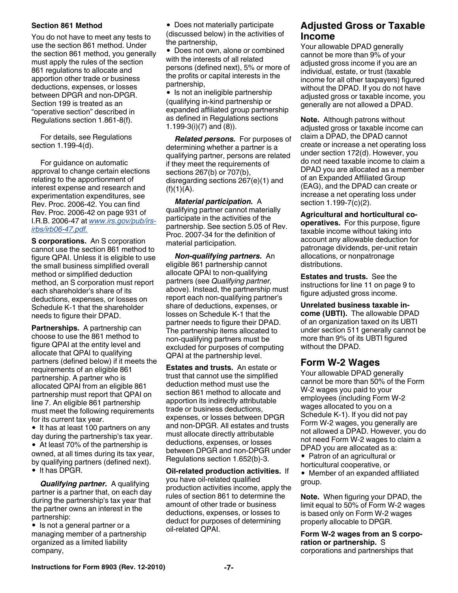#### **Section 861 Method**

You do not have to meet any tests to use the section 861 method. Under the section 861 method, you generally must apply the rules of the section 861 regulations to allocate and apportion other trade or business deductions, expenses, or losses between DPGR and non-DPGR. Section 199 is treated as an "operative section" described in Regulations section 1.861-8(f).

For details, see Regulations section 1.199-4(d).

For guidance on automatic approval to change certain elections relating to the apportionment of interest expense and research and experimentation expenditures, see Rev. Proc. 2006-42. You can find Rev. Proc. 2006-42 on page 931 of I.R.B. 2006-47 at *[www.irs.gov/pub/irs](http://www.irs.gov/pub/irs-irbs/irb06-47.pdf)[irbs/irb06-47.pdf.](http://www.irs.gov/pub/irs-irbs/irb06-47.pdf)*

**S corporations.** An S corporation cannot use the section 861 method to figure QPAI. Unless it is eligible to use the small business simplified overall method or simplified deduction method, an S corporation must report each shareholder's share of its deductions, expenses, or losses on Schedule K-1 that the shareholder needs to figure their DPAD.

**Partnerships.** A partnership can choose to use the 861 method to figure QPAI at the entity level and allocate that QPAI to qualifying partners (defined below) if it meets the requirements of an eligible 861 partnership. A partner who is allocated QPAI from an eligible 861 partnership must report that QPAI on line 7. An eligible 861 partnership must meet the following requirements for its current tax year.

• It has at least 100 partners on any day during the partnership's tax year. At least 70% of the partnership is owned, at all times during its tax year, by qualifying partners (defined next).

• It has DPGR.

*Qualifying partner.* A qualifying partner is a partner that, on each day during the partnership's tax year that the partner owns an interest in the partnership:

• Is not a general partner or a managing member of a partnership organized as a limited liability company,

• Does not materially participate

(discussed below) in the activities of the partnership,

Does not own, alone or combined with the interests of all related persons (defined next), 5% or more of the profits or capital interests in the partnership,

• Is not an ineligible partnership (qualifying in-kind partnership or expanded affiliated group partnership as defined in Regulations sections 1.199-3(i)(7) and (8)).

*Related persons.* For purposes of determining whether a partner is a qualifying partner, persons are related if they meet the requirements of sections 267(b) or 707(b), disregarding sections 267(e)(1) and  $(f)(1)(A)$ .

*Material participation.* A qualifying partner cannot materially participate in the activities of the partnership. See section 5.05 of Rev. Proc. 2007-34 for the definition of material participation.

*Non-qualifying partners.* An eligible 861 partnership cannot allocate QPAI to non-qualifying partners (see *Qualifying partner,*  above). Instead, the partnership must report each non-qualifying partner's share of deductions, expenses, or losses on Schedule K-1 that the partner needs to figure their DPAD. The partnership items allocated to non-qualifying partners must be excluded for purposes of computing QPAI at the partnership level.

**Estates and trusts.** An estate or trust that cannot use the simplified deduction method must use the section 861 method to allocate and apportion its indirectly attributable trade or business deductions, expenses, or losses between DPGR and non-DPGR. All estates and trusts must allocate directly attributable deductions, expenses, or losses between DPGR and non-DPGR under Regulations section 1.652(b)-3.

**Oil-related production activities.** If you have oil-related qualified production activities income, apply the rules of section 861 to determine the amount of other trade or business deductions, expenses, or losses to deduct for purposes of determining oil-related QPAI.

### **Adjusted Gross or Taxable Income**

Your allowable DPAD generally cannot be more than 9% of your adjusted gross income if you are an individual, estate, or trust (taxable income for all other taxpayers) figured without the DPAD. If you do not have adjusted gross or taxable income, you generally are not allowed a DPAD.

**Note.** Although patrons without adjusted gross or taxable income can claim a DPAD, the DPAD cannot create or increase a net operating loss under section 172(d). However, you do not need taxable income to claim a DPAD you are allocated as a member of an Expanded Affiliated Group (EAG), and the DPAD can create or increase a net operating loss under section 1.199-7(c)(2).

**Agricultural and horticultural cooperatives.** For this purpose, figure taxable income without taking into account any allowable deduction for patronage dividends, per-unit retain allocations, or nonpatronage distributions.

**Estates and trusts.** See the instructions for line 11 on page 9 to figure adjusted gross income.

**Unrelated business taxable income (UBTI).** The allowable DPAD of an organization taxed on its UBTI under section 511 generally cannot be more than 9% of its UBTI figured without the DPAD.

### **Form W-2 Wages**

Your allowable DPAD generally cannot be more than 50% of the Form W-2 wages you paid to your employees (including Form W-2 wages allocated to you on a Schedule K-1). If you did not pay Form W-2 wages, you generally are not allowed a DPAD. However, you do not need Form W-2 wages to claim a DPAD you are allocated as a:

• Patron of an agricultural or horticultural cooperative, or

Member of an expanded affiliated group.

**Note.** When figuring your DPAD, the limit equal to 50% of Form W-2 wages is based only on Form W-2 wages properly allocable to DPGR.

**Form W-2 wages from an S corporation or partnership.** S corporations and partnerships that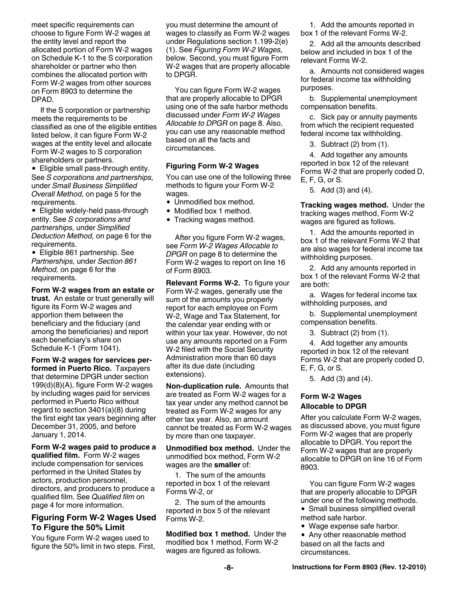meet specific requirements can choose to figure Form W-2 wages at the entity level and report the allocated portion of Form W-2 wages on Schedule K-1 to the S corporation shareholder or partner who then combines the allocated portion with Form W-2 wages from other sources on Form 8903 to determine the DPAD.

If the S corporation or partnership meets the requirements to be classified as one of the eligible entities listed below, it can figure Form W-2 wages at the entity level and allocate Form W-2 wages to S corporation shareholders or partners.

Eligible small pass-through entity. See *S corporations and partnerships,*  under *Small Business Simplified Overall Method,* on page 5 for the requirements.

• Eligible widely-held pass-through entity. See *S corporations and partnerships,* under *Simplified Deduction Method,* on page 6 for the requirements.

Eligible 861 partnership. See *Partnerships,* under *Section 861 Method,* on page 6 for the requirements.

**Form W-2 wages from an estate or trust.** An estate or trust generally will figure its Form W-2 wages and apportion them between the beneficiary and the fiduciary (and among the beneficiaries) and report each beneficiary's share on Schedule K-1 (Form 1041).

**Form W-2 wages for services performed in Puerto Rico.** Taxpayers that determine DPGR under section 199(d)(8)(A), figure Form W-2 wages by including wages paid for services performed in Puerto Rico without regard to section 3401(a)(8) during the first eight tax years beginning after December 31, 2005, and before January 1, 2014.

#### **Form W-2 wages paid to produce a**

**qualified film.** Form W-2 wages include compensation for services performed in the United States by actors, production personnel, directors, and producers to produce a qualified film. See *Qualified film* on page 4 for more information.

#### **Figuring Form W-2 Wages Used To Figure the 50% Limit**

You figure Form W-2 wages used to figure the 50% limit in two steps. First, you must determine the amount of wages to classify as Form W-2 wages under Regulations section 1.199-2(e) (1). See *Figuring Form W-2 Wages,*  below. Second, you must figure Form W-2 wages that are properly allocable to DPGR.

You can figure Form W-2 wages that are properly allocable to DPGR using one of the safe harbor methods discussed under *Form W-2 Wages Allocable to DPGR* on page 8. Also, you can use any reasonable method based on all the facts and circumstances.

#### **Figuring Form W-2 Wages**

You can use one of the following three methods to figure your Form W-2 wages.

- Unmodified box method.
- Modified box 1 method.
- Tracking wages method.

After you figure Form W-2 wages, see *Form W-2 Wages Allocable to DPGR* on page 8 to determine the Form W-2 wages to report on line 16 of Form 8903.

**Relevant Forms W-2.** To figure your Form W-2 wages, generally use the sum of the amounts you properly report for each employee on Form W-2, Wage and Tax Statement, for the calendar year ending with or within your tax year. However, do not use any amounts reported on a Form W-2 filed with the Social Security Administration more than 60 days after its due date (including extensions).

**Non-duplication rule.** Amounts that are treated as Form W-2 wages for a tax year under any method cannot be treated as Form W-2 wages for any other tax year. Also, an amount cannot be treated as Form W-2 wages by more than one taxpayer.

**Unmodified box method.** Under the unmodified box method, Form W-2 wages are the **smaller** of:

1. The sum of the amounts reported in box 1 of the relevant Forms W-2, or

2. The sum of the amounts reported in box 5 of the relevant Forms W-2.

**Modified box 1 method.** Under the modified box 1 method, Form W-2 wages are figured as follows.

1. Add the amounts reported in box 1 of the relevant Forms W-2.

2. Add all the amounts described below and included in box 1 of the relevant Forms W-2.

a. Amounts not considered wages for federal income tax withholding purposes.

b. Supplemental unemployment compensation benefits.

c. Sick pay or annuity payments from which the recipient requested federal income tax withholding.

3. Subtract (2) from (1).

4. Add together any amounts reported in box 12 of the relevant Forms W-2 that are properly coded D, E, F, G, or S.

5. Add (3) and (4).

**Tracking wages method.** Under the tracking wages method, Form W-2 wages are figured as follows.

1. Add the amounts reported in box 1 of the relevant Forms W-2 that are also wages for federal income tax withholding purposes.

2. Add any amounts reported in box 1 of the relevant Forms W-2 that are both:

a. Wages for federal income tax withholding purposes, and

b. Supplemental unemployment compensation benefits.

3. Subtract (2) from (1).

4. Add together any amounts reported in box 12 of the relevant Forms W-2 that are properly coded D, E, F, G, or S.

5. Add (3) and (4).

#### **Form W-2 Wages Allocable to DPGR**

After you calculate Form W-2 wages, as discussed above, you must figure Form W-2 wages that are properly allocable to DPGR. You report the Form W-2 wages that are properly allocable to DPGR on line 16 of Form 8903.

You can figure Form W-2 wages that are properly allocable to DPGR under one of the following methods.

- Small business simplified overall method safe harbor.
- Wage expense safe harbor.
- Any other reasonable method based on all the facts and circumstances.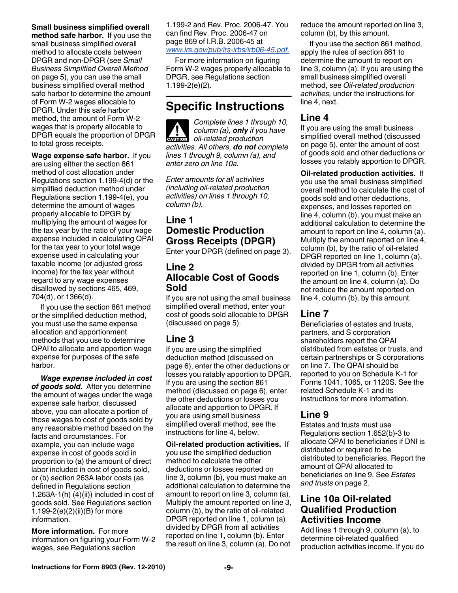#### **Small business simplified overall**

**method safe harbor.** If you use the small business simplified overall method to allocate costs between DPGR and non-DPGR (see *Small Business Simplified Overall Method*  on page 5), you can use the small business simplified overall method safe harbor to determine the amount of Form W-2 wages allocable to DPGR. Under this safe harbor method, the amount of Form W-2 wages that is properly allocable to DPGR equals the proportion of DPGR to total gross receipts.

**Wage expense safe harbor.** If you are using either the section 861 method of cost allocation under Regulations section 1.199-4(d) or the simplified deduction method under Regulations section 1.199-4(e), you determine the amount of wages properly allocable to DPGR by multiplying the amount of wages for the tax year by the ratio of your wage expense included in calculating QPAI for the tax year to your total wage expense used in calculating your taxable income (or adjusted gross income) for the tax year without regard to any wage expenses disallowed by sections 465, 469, 704(d), or 1366(d).

If you use the section 861 method or the simplified deduction method, you must use the same expense allocation and apportionment methods that you use to determine QPAI to allocate and apportion wage expense for purposes of the safe harbor.

*Wage expense included in cost of goods sold.* After you determine the amount of wages under the wage expense safe harbor, discussed above, you can allocate a portion of those wages to cost of goods sold by any reasonable method based on the facts and circumstances. For example, you can include wage expense in cost of goods sold in proportion to (a) the amount of direct labor included in cost of goods sold, or (b) section 263A labor costs (as defined in Regulations section 1.263A-1(h) $(4)(ii)$  included in cost of goods sold. See Regulations section 1.199-2(e)(2)(ii)(B) for more information.

**More information.** For more information on figuring your Form W-2 wages, see Regulations section

1.199-2 and Rev. Proc. 2006-47. You can find Rev. Proc. 2006-47 on page 869 of I.R.B. 2006-45 at *[www.irs.gov/pub/irs-irbs/irb06-45.pdf.](http://www.irs.gov/pub/irs-irbs/irb06-45.pdf)*

For more information on figuring Form W-2 wages properly allocable to DPGR, see Regulations section 1.199-2(e)(2).

### **Specific Instructions**

*Complete lines 1 through 10, column (a), only if you have*  **column** (a), **only** if you *activities. All others, do not complete lines 1 through 9, column (a), and enter zero on line 10a.*

*Enter amounts for all activities (including oil-related production activities) on lines 1 through 10, column (b).*

### **Line 1 Domestic Production Gross Receipts (DPGR)**

Enter your DPGR (defined on page 3).

### **Line 2 Allocable Cost of Goods Sold**

If you are not using the small business simplified overall method, enter your cost of goods sold allocable to DPGR (discussed on page 5).

### **Line 3**

If you are using the simplified deduction method (discussed on page 6), enter the other deductions or losses you ratably apportion to DPGR. If you are using the section 861 method (discussed on page 6), enter the other deductions or losses you allocate and apportion to DPGR. If you are using small business simplified overall method, see the instructions for line 4, below.

**Oil-related production activities.** If you use the simplified deduction method to calculate the other deductions or losses reported on line 3, column (b), you must make an additional calculation to determine the amount to report on line 3, column (a). Multiply the amount reported on line 3, column (b), by the ratio of oil-related DPGR reported on line 1, column (a) divided by DPGR from all activities reported on line 1, column (b). Enter the result on line 3, column (a). Do not reduce the amount reported on line 3, column (b), by this amount.

If you use the section 861 method, apply the rules of section 861 to determine the amount to report on line 3, column (a). If you are using the small business simplified overall method, see *Oil-related production activities,* under the instructions for line 4, next.

### **Line 4**

If you are using the small business simplified overall method (discussed on page 5), enter the amount of cost of goods sold and other deductions or losses you ratably apportion to DPGR.

**Oil-related production activities.** If you use the small business simplified overall method to calculate the cost of goods sold and other deductions, expenses, and losses reported on line 4, column (b), you must make an additional calculation to determine the amount to report on line 4, column (a). Multiply the amount reported on line 4, column (b), by the ratio of oil-related DPGR reported on line 1, column (a), divided by DPGR from all activities reported on line 1, column (b). Enter the amount on line 4, column (a). Do not reduce the amount reported on line 4, column (b), by this amount.

### **Line 7**

Beneficiaries of estates and trusts, partners, and S corporation shareholders report the QPAI distributed from estates or trusts, and certain partnerships or S corporations on line 7. The QPAI should be reported to you on Schedule K-1 for Forms 1041, 1065, or 1120S. See the related Schedule K-1 and its instructions for more information.

### **Line 9**

Estates and trusts must use Regulations section 1.652(b)-3 to allocate QPAI to beneficiaries if DNI is distributed or required to be distributed to beneficiaries. Report the amount of QPAI allocated to beneficiaries on line 9. See *Estates and trusts* on page 2.

### **Line 10a Oil-related Qualified Production Activities Income**

Add lines 1 through 9, column (a), to determine oil-related qualified production activities income. If you do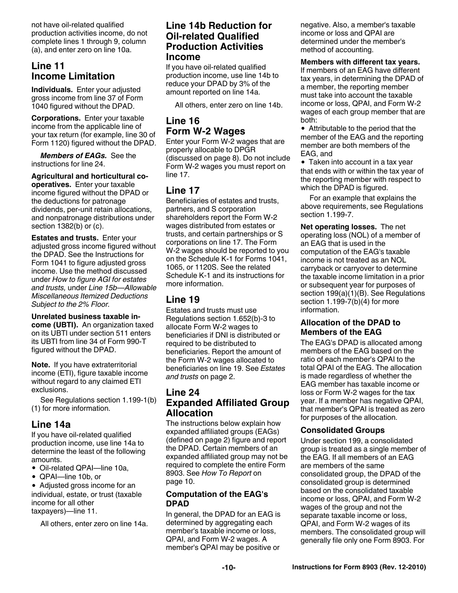not have oil-related qualified production activities income, do not complete lines 1 through 9, column (a), and enter zero on line 10a.

### **Line 11 Income Limitation**

**Individuals.** Enter your adjusted gross income from line 37 of Form 1040 figured without the DPAD.

**Corporations.** Enter your taxable income from the applicable line of your tax return (for example, line 30 of Form 1120) figured without the DPAD.

*Members of EAGs.* See the instructions for line 24.

**Agricultural and horticultural cooperatives.** Enter your taxable income figured without the DPAD or the deductions for patronage dividends, per-unit retain allocations, and nonpatronage distributions under section 1382(b) or (c).

**Estates and trusts.** Enter your adjusted gross income figured without the DPAD. See the Instructions for Form 1041 to figure adjusted gross income. Use the method discussed under *How to figure AGI for estates and trusts,* under *Line 15b—Allowable Miscellaneous Itemized Deductions Subject to the 2% Floor.*

**Unrelated business taxable income (UBTI).** An organization taxed on its UBTI under section 511 enters its UBTI from line 34 of Form 990-T figured without the DPAD.

**Note.** If you have extraterritorial income (ETI), figure taxable income without regard to any claimed ETI exclusions.

See Regulations section 1.199-1(b) (1) for more information.

### **Line 14a**

If you have oil-related qualified production income, use line 14a to determine the least of the following amounts.

Oil-related QPAI—line 10a,

QPAI—line 10b, or

Adjusted gross income for an individual, estate, or trust (taxable income for all other taxpayers)—line 11.

All others, enter zero on line 14a.

### **Line 14b Reduction for Oil-related Qualified Production Activities Income**

If you have oil-related qualified production income, use line 14b to reduce your DPAD by 3% of the amount reported on line 14a.

All others, enter zero on line 14b.

### **Line 16 Form W-2 Wages**

Enter your Form W-2 wages that are properly allocable to DPGR (discussed on page 8). Do not include Form W-2 wages you must report on line 17.

### **Line 17**

Beneficiaries of estates and trusts, partners, and S corporation shareholders report the Form W-2 wages distributed from estates or trusts, and certain partnerships or S corporations on line 17. The Form W-2 wages should be reported to you on the Schedule K-1 for Forms 1041, 1065, or 1120S. See the related Schedule K-1 and its instructions for more information.

### **Line 19**

Estates and trusts must use Regulations section 1.652(b)-3 to allocate Form W-2 wages to beneficiaries if DNI is distributed or required to be distributed to beneficiaries. Report the amount of the Form W-2 wages allocated to beneficiaries on line 19. See *Estates and trusts* on page 2.

### **Line 24 Expanded Affiliated Group Allocation**

The instructions below explain how expanded affiliated groups (EAGs) (defined on page 2) figure and report the DPAD. Certain members of an expanded affiliated group may not be required to complete the entire Form 8903. See *How To Report* on page 10.

### **Computation of the EAG's DPAD**

In general, the DPAD for an EAG is determined by aggregating each member's taxable income or loss, QPAI, and Form W-2 wages. A member's QPAI may be positive or

negative. Also, a member's taxable income or loss and QPAI are determined under the member's method of accounting.

#### **Members with different tax years.**

If members of an EAG have different tax years, in determining the DPAD of a member, the reporting member must take into account the taxable income or loss, QPAI, and Form W-2 wages of each group member that are both:

Attributable to the period that the member of the EAG and the reporting member are both members of the EAG, and

• Taken into account in a tax year that ends with or within the tax year of the reporting member with respect to which the DPAD is figured.

For an example that explains the above requirements, see Regulations section 1.199-7.

**Net operating losses.** The net operating loss (NOL) of a member of an EAG that is used in the computation of the EAG's taxable income is not treated as an NOL carryback or carryover to determine the taxable income limitation in a prior or subsequent year for purposes of section 199(a)(1)(B). See Regulations section 1.199-7(b)(4) for more information.

#### **Allocation of the DPAD to Members of the EAG**

The EAG's DPAD is allocated among members of the EAG based on the ratio of each member's QPAI to the total QPAI of the EAG. The allocation is made regardless of whether the EAG member has taxable income or loss or Form W-2 wages for the tax year. If a member has negative QPAI, that member's QPAI is treated as zero for purposes of the allocation.

#### **Consolidated Groups**

Under section 199, a consolidated group is treated as a single member of the EAG. If all members of an EAG are members of the same consolidated group, the DPAD of the consolidated group is determined based on the consolidated taxable income or loss, QPAI, and Form W-2 wages of the group and not the separate taxable income or loss, QPAI, and Form W-2 wages of its members. The consolidated group will generally file only one Form 8903. For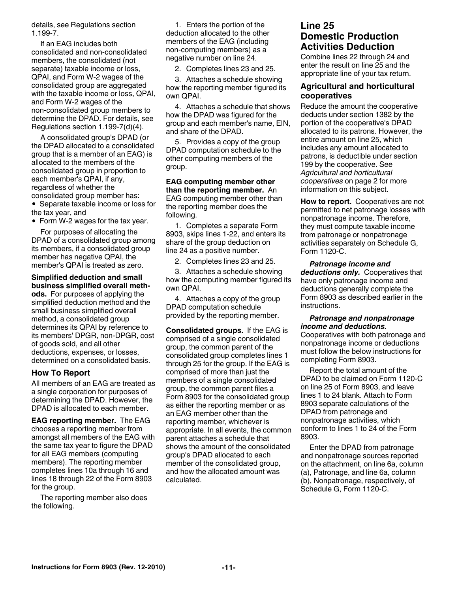details, see Regulations section 1.199-7.

If an EAG includes both consolidated and non-consolidated members, the consolidated (not separate) taxable income or loss, QPAI, and Form W-2 wages of the consolidated group are aggregated with the taxable income or loss, QPAI, and Form W-2 wages of the non-consolidated group members to determine the DPAD. For details, see Regulations section 1.199-7(d)(4).

A consolidated group's DPAD (or the DPAD allocated to a consolidated group that is a member of an EAG) is allocated to the members of the consolidated group in proportion to each member's QPAI, if any, regardless of whether the consolidated group member has: • Separate taxable income or loss for

the tax year, and Form W-2 wages for the tax year.

For purposes of allocating the

DPAD of a consolidated group among its members, if a consolidated group member has negative QPAI, the member's QPAI is treated as zero.

**Simplified deduction and small business simplified overall methods.** For purposes of applying the

simplified deduction method and the small business simplified overall method, a consolidated group determines its QPAI by reference to its members' DPGR, non-DPGR, cost of goods sold, and all other deductions, expenses, or losses, determined on a consolidated basis.

#### **How To Report**

All members of an EAG are treated as a single corporation for purposes of determining the DPAD. However, the DPAD is allocated to each member.

**EAG reporting member.** The EAG chooses a reporting member from amongst all members of the EAG with the same tax year to figure the DPAD for all EAG members (computing members). The reporting member completes lines 10a through 16 and lines 18 through 22 of the Form 8903 for the group.

The reporting member also does the following.

1. Enters the portion of the deduction allocated to the other members of the EAG (including non-computing members) as a negative number on line 24.

2. Completes lines 23 and 25.

3. Attaches a schedule showing how the reporting member figured its own QPAI.

4. Attaches a schedule that shows how the DPAD was figured for the group and each member's name, EIN, and share of the DPAD.

5. Provides a copy of the group DPAD computation schedule to the other computing members of the group.

**EAG computing member other than the reporting member.** An EAG computing member other than the reporting member does the following.

1. Completes a separate Form 8903, skips lines 1-22, and enters its share of the group deduction on line 24 as a positive number.

2. Completes lines 23 and 25.

3. Attaches a schedule showing how the computing member figured its own QPAI.

4. Attaches a copy of the group DPAD computation schedule provided by the reporting member.

**Consolidated groups.** If the EAG is comprised of a single consolidated group, the common parent of the consolidated group completes lines 1 through 25 for the group. If the EAG is comprised of more than just the members of a single consolidated group, the common parent files a Form 8903 for the consolidated group as either the reporting member or as an EAG member other than the reporting member, whichever is appropriate. In all events, the common parent attaches a schedule that shows the amount of the consolidated group's DPAD allocated to each member of the consolidated group, and how the allocated amount was calculated.

### **Line 25 Domestic Production Activities Deduction**

Combine lines 22 through 24 and enter the result on line 25 and the appropriate line of your tax return.

#### **Agricultural and horticultural cooperatives**

Reduce the amount the cooperative deducts under section 1382 by the portion of the cooperative's DPAD allocated to its patrons. However, the entire amount on line 25, which includes any amount allocated to patrons, is deductible under section 199 by the cooperative. See *Agricultural and horticultural cooperatives* on page 2 for more information on this subject.

**How to report.** Cooperatives are not permitted to net patronage losses with nonpatronage income. Therefore, they must compute taxable income from patronage or nonpatronage activities separately on Schedule G, Form 1120-C.

*Patronage income and deductions only.* Cooperatives that have only patronage income and deductions generally complete the Form 8903 as described earlier in the instructions.

#### *Patronage and nonpatronage income and deductions.*

Cooperatives with both patronage and nonpatronage income or deductions must follow the below instructions for completing Form 8903.

Report the total amount of the DPAD to be claimed on Form 1120-C on line 25 of Form 8903, and leave lines 1 to 24 blank. Attach to Form 8903 separate calculations of the DPAD from patronage and nonpatronage activities, which conform to lines 1 to 24 of the Form 8903.

Enter the DPAD from patronage and nonpatronage sources reported on the attachment, on line 6a, column (a), Patronage, and line 6a, column (b), Nonpatronage, respectively, of Schedule G, Form 1120-C.